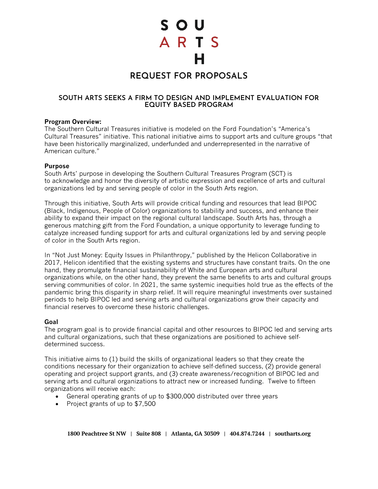S O U ARTS

# **REQUEST FOR PROPOSALS**

## **SOUTH ARTS SEEKS A FIRM TO DESIGN AND IMPLEMENT EVALUATION FOR EQUITY BASED PROGRAM**

#### **Program Overview:**

The Southern Cultural Treasures initiative is modeled on the Ford Foundation's "America's Cultural Treasures" initiative. This national initiative aims to support arts and culture groups "that have been historically marginalized, underfunded and underrepresented in the narrative of American culture."

#### **Purpose**

South Arts' purpose in developing the Southern Cultural Treasures Program (SCT) is to acknowledge and honor the diversity of artistic expression and excellence of arts and cultural organizations led by and serving people of color in the South Arts region.

Through this initiative, South Arts will provide critical funding and resources that lead BIPOC (Black, Indigenous, People of Color) organizations to stability and success, and enhance their ability to expand their impact on the regional cultural landscape. South Arts has, through a generous matching gift from the Ford Foundation, a unique opportunity to leverage funding to catalyze increased funding support for arts and cultural organizations led by and serving people of color in the South Arts region.

In "Not Just Money: Equity Issues in Philanthropy," published by the Helicon Collaborative in 2017, Helicon identified that the existing systems and structures have constant traits. On the one hand, they promulgate financial sustainability of White and European arts and cultural organizations while, on the other hand, they prevent the same benefits to arts and cultural groups serving communities of color. In 2021, the same systemic inequities hold true as the effects of the pandemic bring this disparity in sharp relief. It will require meaningful investments over sustained periods to help BIPOC led and serving arts and cultural organizations grow their capacity and financial reserves to overcome these historic challenges.

## **Goal**

The program goal is to provide financial capital and other resources to BIPOC led and serving arts and cultural organizations, such that these organizations are positioned to achieve selfdetermined success.

This initiative aims to (1) build the skills of organizational leaders so that they create the conditions necessary for their organization to achieve self-defined success, (2) provide general operating and project support grants, and (3) create awareness/recognition of BIPOC led and serving arts and cultural organizations to attract new or increased funding. Twelve to fifteen organizations will receive each:

- General operating grants of up to \$300,000 distributed over three years
- Project grants of up to \$7,500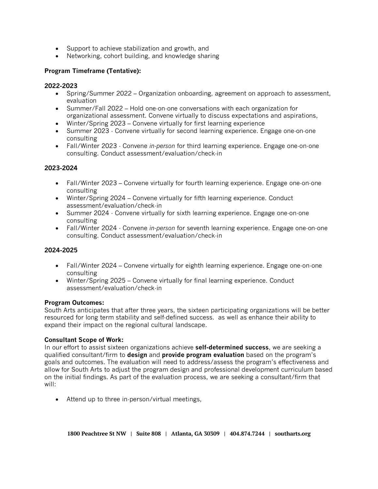- Support to achieve stabilization and growth, and
- Networking, cohort building, and knowledge sharing

# **Program Timeframe (Tentative):**

## **2022-2023**

- Spring/Summer 2022 Organization onboarding, agreement on approach to assessment, evaluation
- Summer/Fall 2022 Hold one-on-one conversations with each organization for organizational assessment. Convene virtually to discuss expectations and aspirations,
- Winter/Spring 2023 Convene virtually for first learning experience
- Summer 2023 Convene virtually for second learning experience. Engage one-on-one consulting
- Fall/Winter 2023 Convene *in-person* for third learning experience. Engage one-on-one consulting. Conduct assessment/evaluation/check-in

## **2023-2024**

- Fall/Winter 2023 Convene virtually for fourth learning experience. Engage one-on-one consulting
- Winter/Spring 2024 Convene virtually for fifth learning experience. Conduct assessment/evaluation/check-in
- Summer 2024 Convene virtually for sixth learning experience. Engage one-on-one consulting
- Fall/Winter 2024 Convene *in-person* for seventh learning experience. Engage one-on-one consulting. Conduct assessment/evaluation/check-in

## **2024-2025**

- Fall/Winter 2024 Convene virtually for eighth learning experience. Engage one-on-one consulting
- Winter/Spring 2025 Convene virtually for final learning experience. Conduct assessment/evaluation/check-in

## **Program Outcomes:**

South Arts anticipates that after three years, the sixteen participating organizations will be better resourced for long term stability and self-defined success. as well as enhance their ability to expand their impact on the regional cultural landscape.

## **Consultant Scope of Work:**

In our effort to assist sixteen organizations achieve **self-determined success**, we are seeking a qualified consultant/firm to **design** and **provide program evaluation** based on the program's goals and outcomes. The evaluation will need to address/assess the program's effectiveness and allow for South Arts to adjust the program design and professional development curriculum based on the initial findings. As part of the evaluation process, we are seeking a consultant/firm that will:

• Attend up to three in-person/virtual meetings,